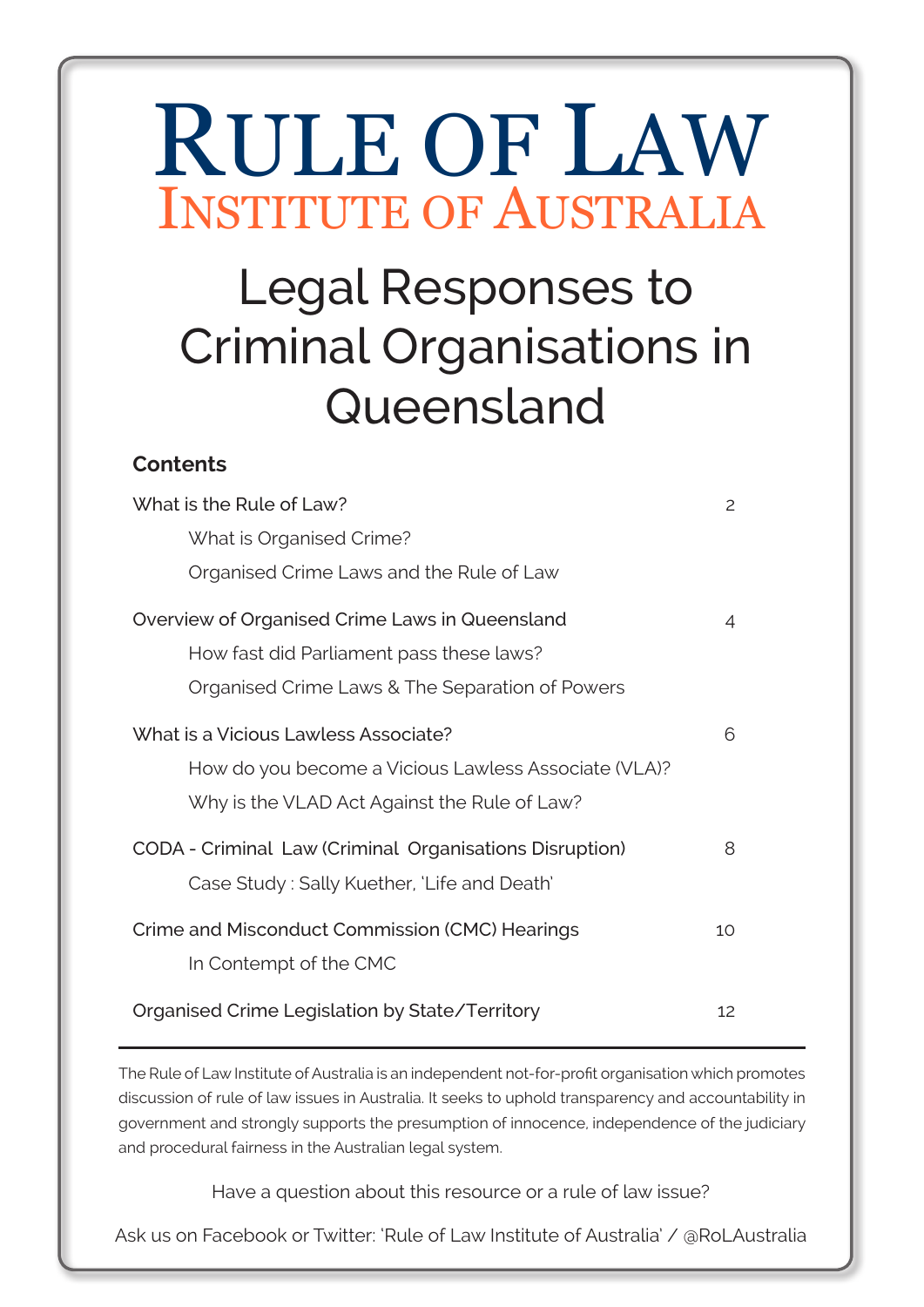# RULE OF LAW INSTITUTE OF AUSTRALIA

# Legal Responses to Criminal Organisations in Queensland

## **Contents**

| What is the Rule of Law?                                | 2  |
|---------------------------------------------------------|----|
| What is Organised Crime?                                |    |
| Organised Crime Laws and the Rule of Law                |    |
| Overview of Organised Crime Laws in Queensland          | 4  |
| How fast did Parliament pass these laws?                |    |
| Organised Crime Laws & The Separation of Powers         |    |
| What is a Vicious Lawless Associate?                    | 6  |
| How do you become a Vicious Lawless Associate (VLA)?    |    |
| Why is the VLAD Act Against the Rule of Law?            |    |
| CODA - Criminal Law (Criminal Organisations Disruption) | 8  |
| Case Study: Sally Kuether, 'Life and Death'             |    |
| Crime and Misconduct Commission (CMC) Hearings          | 10 |
| In Contempt of the CMC                                  |    |
| Organised Crime Legislation by State/Territory          | 12 |

The Rule of Law Institute of Australia is an independent not-for-profit organisation which promotes discussion of rule of law issues in Australia. It seeks to uphold transparency and accountability in government and strongly supports the presumption of innocence, independence of the judiciary and procedural fairness in the Australian legal system.

Have a question about this resource or a rule of law issue?

Ask us on Facebook or Twitter: 'Rule of Law Institute of Australia' / @RoLAustralia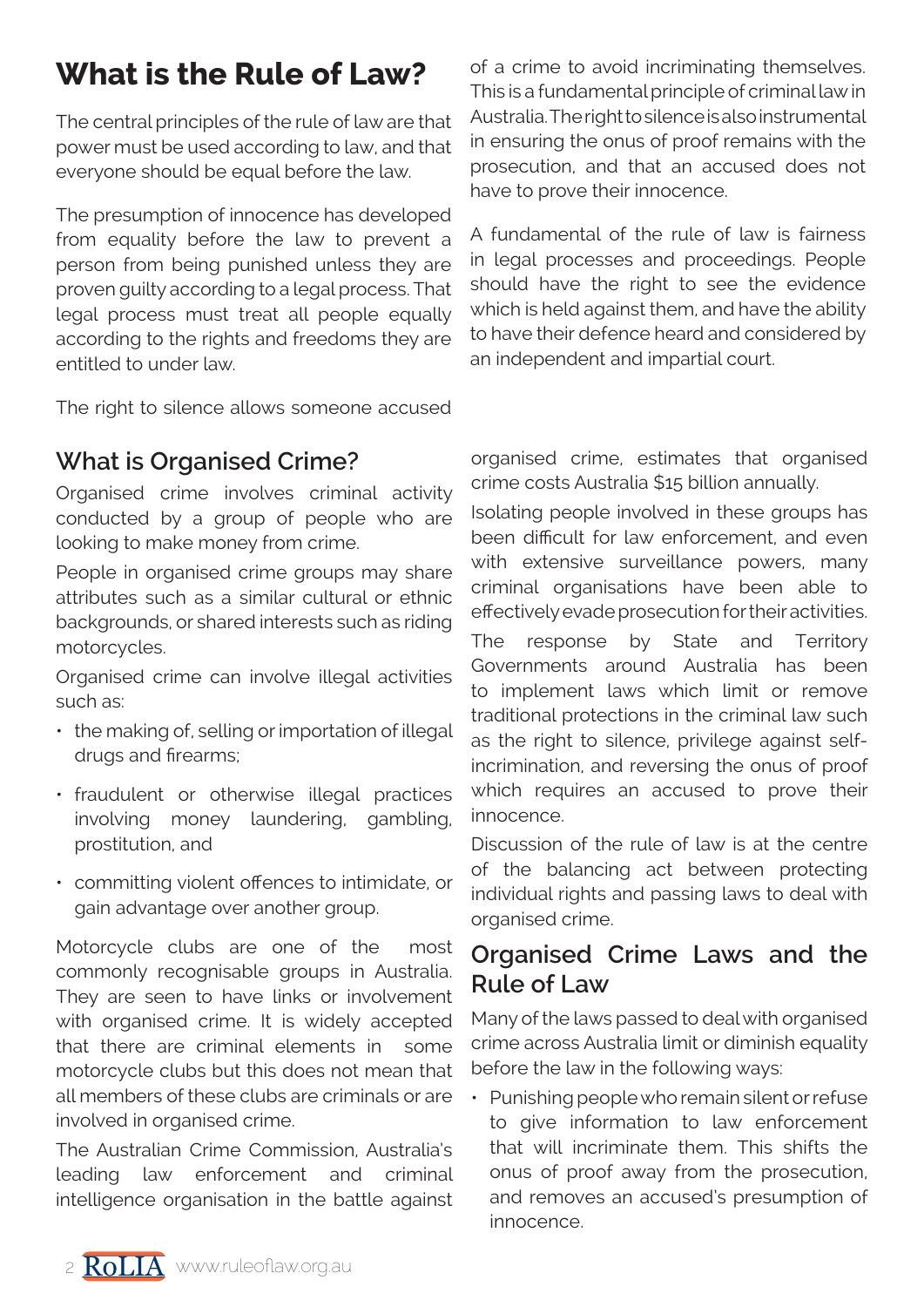## **What is the Rule of Law?**

The central principles of the rule of law are that power must be used according to law, and that everyone should be equal before the law.

The presumption of innocence has developed from equality before the law to prevent a person from being punished unless they are proven guilty according to a legal process. That legal process must treat all people equally according to the rights and freedoms they are entitled to under law.

The right to silence allows someone accused

of a crime to avoid incriminating themselves. This is a fundamental principle of criminal law in Australia. The right to silence is also instrumental in ensuring the onus of proof remains with the prosecution, and that an accused does not have to prove their innocence.

A fundamental of the rule of law is fairness in legal processes and proceedings. People should have the right to see the evidence which is held against them, and have the ability to have their defence heard and considered by an independent and impartial court.

## **What is Organised Crime?**

Organised crime involves criminal activity conducted by a group of people who are looking to make money from crime.

People in organised crime groups may share attributes such as a similar cultural or ethnic backgrounds, or shared interests such as riding motorcycles.

Organised crime can involve illegal activities such as:

- the making of, selling or importation of illegal drugs and firearms;
- fraudulent or otherwise illegal practices involving money laundering, gambling, prostitution, and
- committing violent offences to intimidate, or gain advantage over another group.

Motorcycle clubs are one of the most commonly recognisable groups in Australia. They are seen to have links or involvement with organised crime. It is widely accepted that there are criminal elements in some motorcycle clubs but this does not mean that all members of these clubs are criminals or are involved in organised crime.

The Australian Crime Commission, Australia's leading law enforcement and criminal intelligence organisation in the battle against organised crime, estimates that organised crime costs Australia \$15 billion annually.

Isolating people involved in these groups has been difficult for law enforcement, and even with extensive surveillance powers, many criminal organisations have been able to effectively evade prosecution for their activities.

The response by State and Territory Governments around Australia has been to implement laws which limit or remove traditional protections in the criminal law such as the right to silence, privilege against selfincrimination, and reversing the onus of proof which requires an accused to prove their innocence.

Discussion of the rule of law is at the centre of the balancing act between protecting individual rights and passing laws to deal with organised crime.

## **Organised Crime Laws and the Rule of Law**

Many of the laws passed to deal with organised crime across Australia limit or diminish equality before the law in the following ways:

• Punishing people who remain silent or refuse to give information to law enforcement that will incriminate them. This shifts the onus of proof away from the prosecution, and removes an accused's presumption of innocence.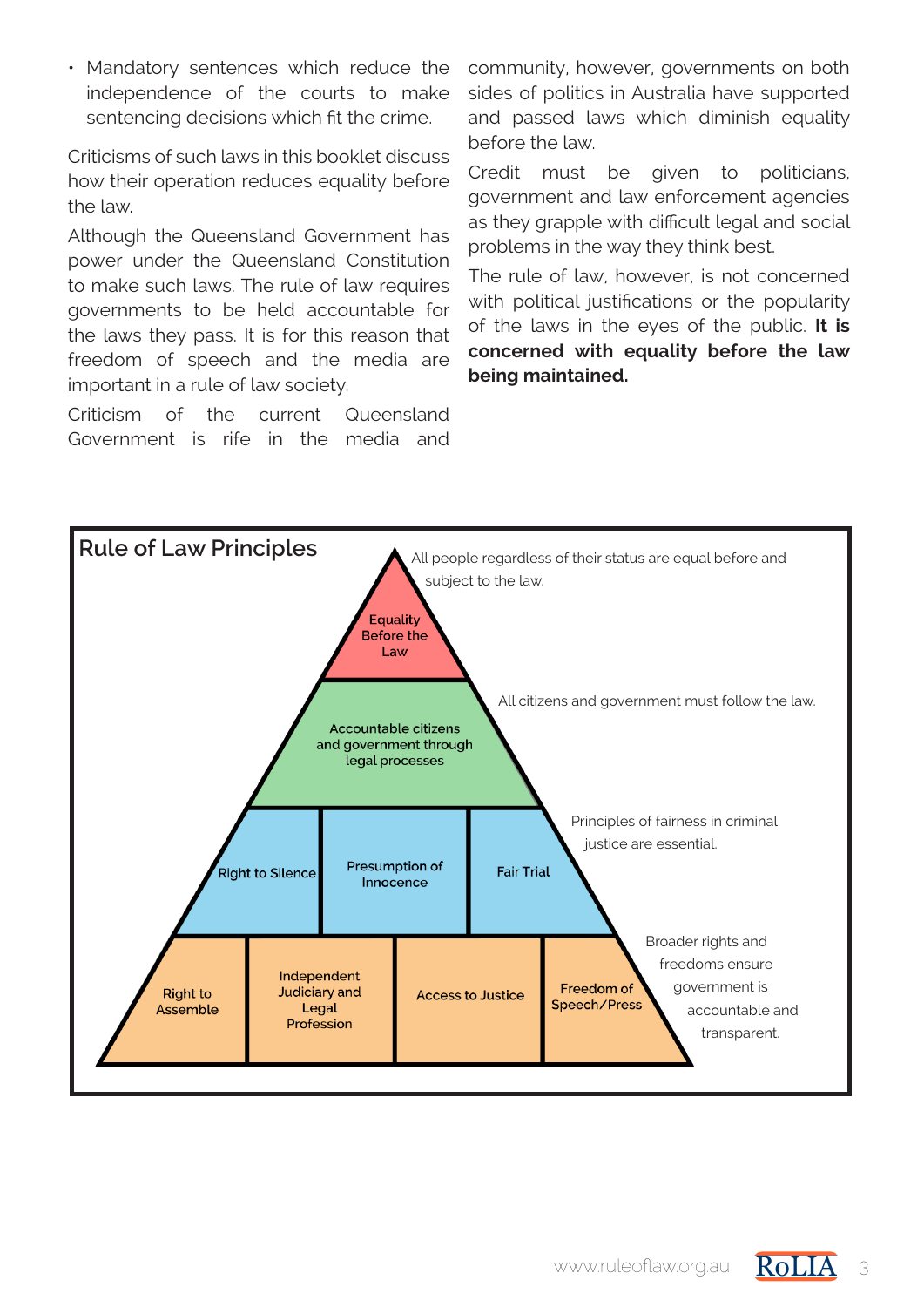• Mandatory sentences which reduce the independence of the courts to make sentencing decisions which fit the crime.

Criticisms of such laws in this booklet discuss how their operation reduces equality before the law.

Although the Queensland Government has power under the Queensland Constitution to make such laws. The rule of law requires governments to be held accountable for the laws they pass. It is for this reason that freedom of speech and the media are important in a rule of law society.

Criticism of the current Queensland Government is rife in the media and community, however, governments on both sides of politics in Australia have supported and passed laws which diminish equality before the law.

Credit must be given to politicians, government and law enforcement agencies as they grapple with difficult legal and social problems in the way they think best.

The rule of law, however, is not concerned with political justifications or the popularity of the laws in the eyes of the public. **It is concerned with equality before the law being maintained.**



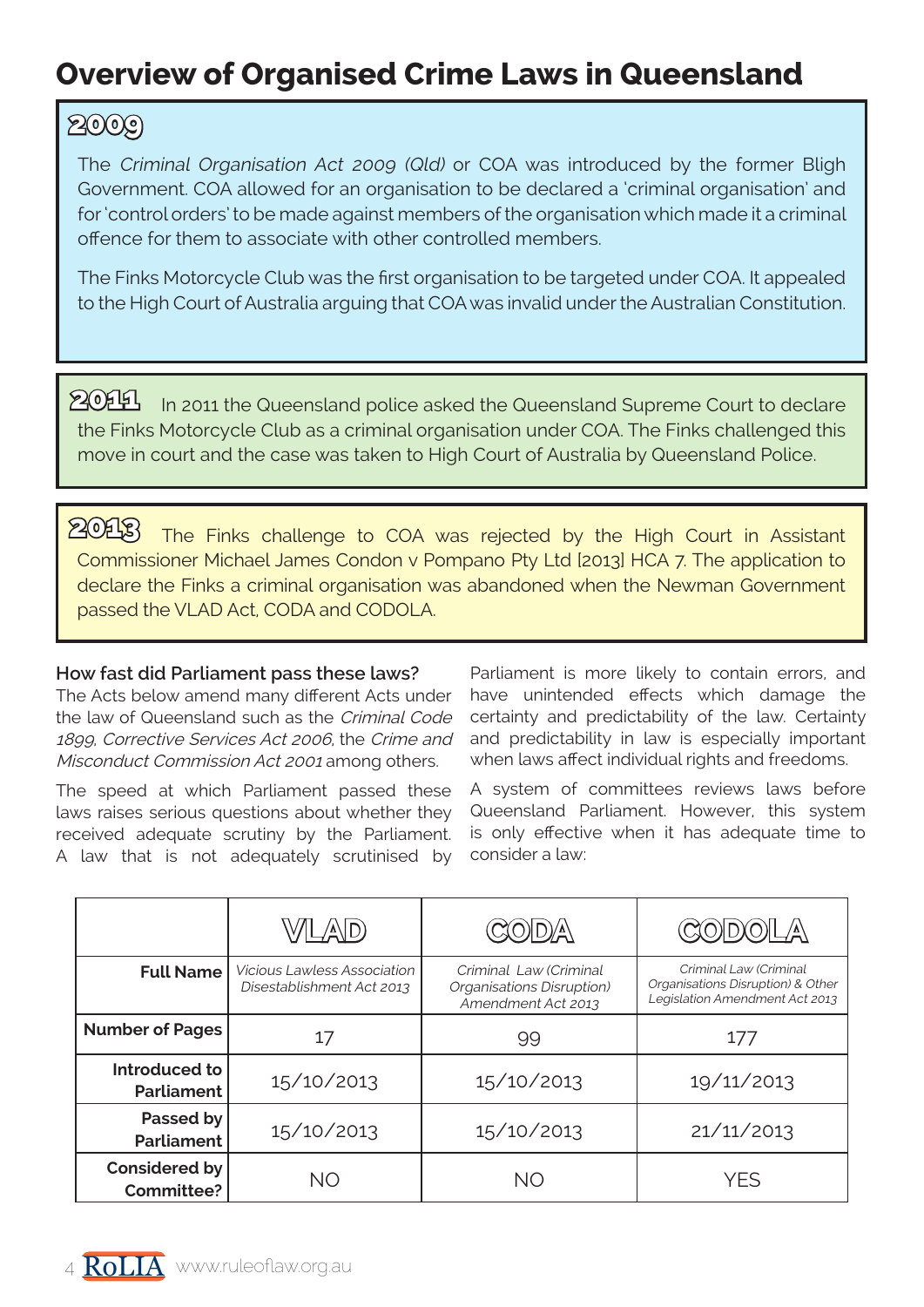## **Overview of Organised Crime Laws in Queensland**

## **2009**

The Criminal Organisation Act 2009 (Qld) or COA was introduced by the former Bligh Government. COA allowed for an organisation to be declared a 'criminal organisation' and for 'control orders' to be made against members of the organisation which made it a criminal offence for them to associate with other controlled members.

The Finks Motorcycle Club was the first organisation to be targeted under COA. It appealed to the High Court of Australia arguing that COA was invalid under the Australian Constitution.

 $204$  In 2011 the Queensland police asked the Queensland Supreme Court to declare the Finks Motorcycle Club as a criminal organisation under COA. The Finks challenged this move in court and the case was taken to High Court of Australia by Queensland Police.

The Finks challenge to COA was rejected by the High Court in Assistant Commissioner Michael James Condon v Pompano Pty Ltd [2013] HCA 7. The application to declare the Finks a criminal organisation was abandoned when the Newman Government passed the VLAD Act, CODA and CODOLA. **2013**

#### **How fast did Parliament pass these laws?**

The Acts below amend many different Acts under the law of Queensland such as the Criminal Code 1899, Corrective Services Act 2006, the Crime and Misconduct Commission Act 2001 among others.

The speed at which Parliament passed these laws raises serious questions about whether they received adequate scrutiny by the Parliament. A law that is not adequately scrutinised by

Parliament is more likely to contain errors, and have unintended effects which damage the certainty and predictability of the law. Certainty and predictability in law is especially important when laws affect individual rights and freedoms.

A system of committees reviews laws before Queensland Parliament. However, this system is only effective when it has adequate time to consider a law:

|                                    | V/IL/A\ID)                                                      |                                                                           | $\frac{1}{2}$                                                                                 |
|------------------------------------|-----------------------------------------------------------------|---------------------------------------------------------------------------|-----------------------------------------------------------------------------------------------|
| <b>Full Name</b>                   | <b>Vicious Lawless Association</b><br>Disestablishment Act 2013 | Criminal Law (Criminal<br>Organisations Disruption)<br>Amendment Act 2013 | Criminal Law (Criminal<br>Organisations Disruption) & Other<br>Legislation Amendment Act 2013 |
| <b>Number of Pages</b>             | 17                                                              | 99                                                                        | 177                                                                                           |
| Introduced to<br><b>Parliament</b> | 15/10/2013                                                      | 15/10/2013                                                                | 19/11/2013                                                                                    |
| Passed by<br><b>Parliament</b>     | 15/10/2013                                                      | 15/10/2013                                                                | 21/11/2013                                                                                    |
| Considered by<br><b>Committee?</b> | ΝO                                                              | ΝO                                                                        | YES                                                                                           |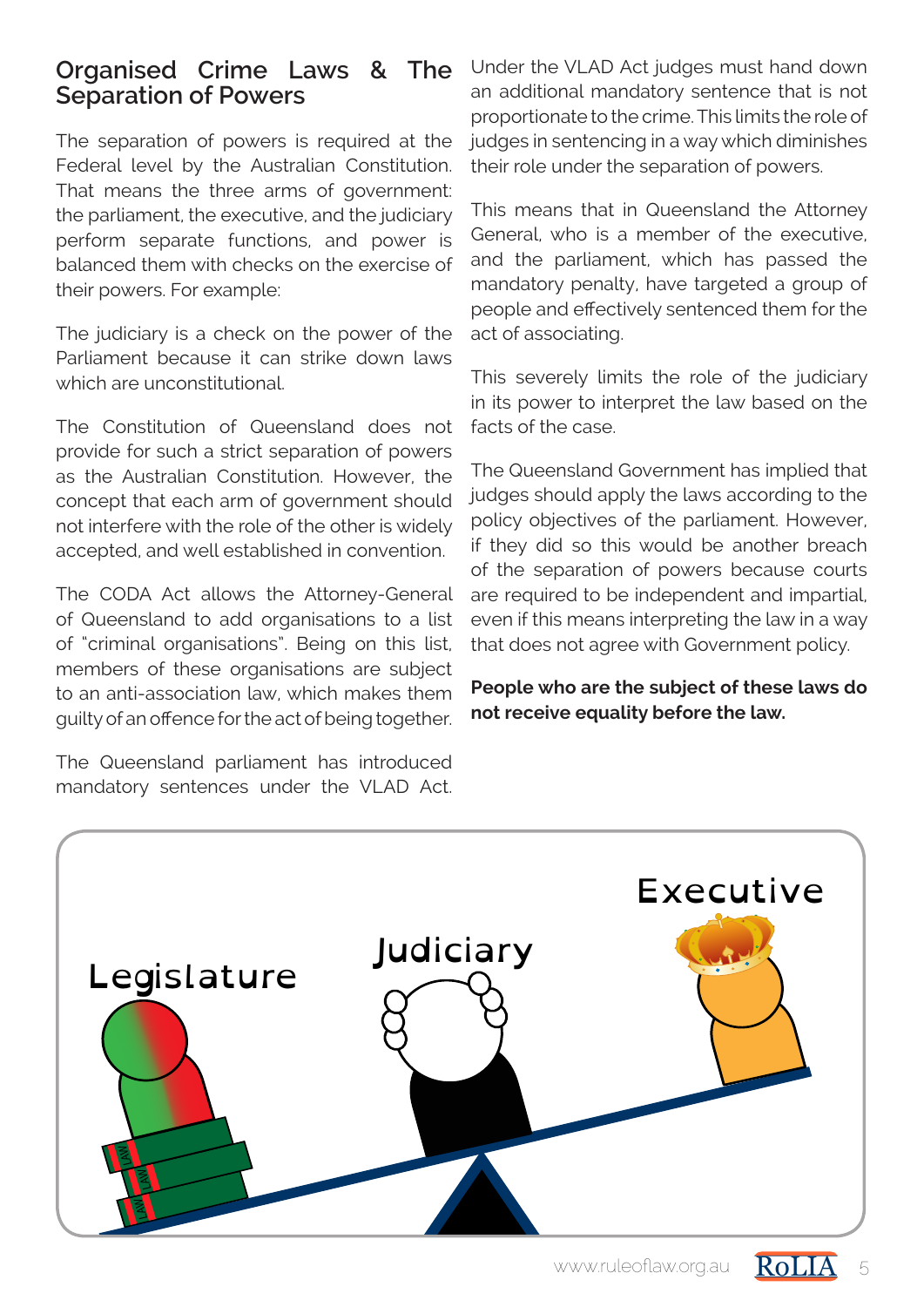## **Organised Crime Laws & The Separation of Powers**

The separation of powers is required at the Federal level by the Australian Constitution. That means the three arms of government: the parliament, the executive, and the judiciary perform separate functions, and power is balanced them with checks on the exercise of their powers. For example:

The judiciary is a check on the power of the Parliament because it can strike down laws which are unconstitutional.

The Constitution of Queensland does not provide for such a strict separation of powers as the Australian Constitution. However, the concept that each arm of government should not interfere with the role of the other is widely accepted, and well established in convention.

The CODA Act allows the Attorney-General of Queensland to add organisations to a list of "criminal organisations". Being on this list, members of these organisations are subject to an anti-association law, which makes them guilty of an offence for the act of being together.

The Queensland parliament has introduced mandatory sentences under the VLAD Act.

Under the VLAD Act judges must hand down an additional mandatory sentence that is not proportionate to the crime. This limits the role of judges in sentencing in a way which diminishes their role under the separation of powers.

This means that in Queensland the Attorney General, who is a member of the executive, and the parliament, which has passed the mandatory penalty, have targeted a group of people and effectively sentenced them for the act of associating.

This severely limits the role of the judiciary in its power to interpret the law based on the facts of the case.

The Queensland Government has implied that judges should apply the laws according to the policy objectives of the parliament. However, if they did so this would be another breach of the separation of powers because courts are required to be independent and impartial, even if this means interpreting the law in a way that does not agree with Government policy.

**People who are the subject of these laws do not receive equality before the law.**

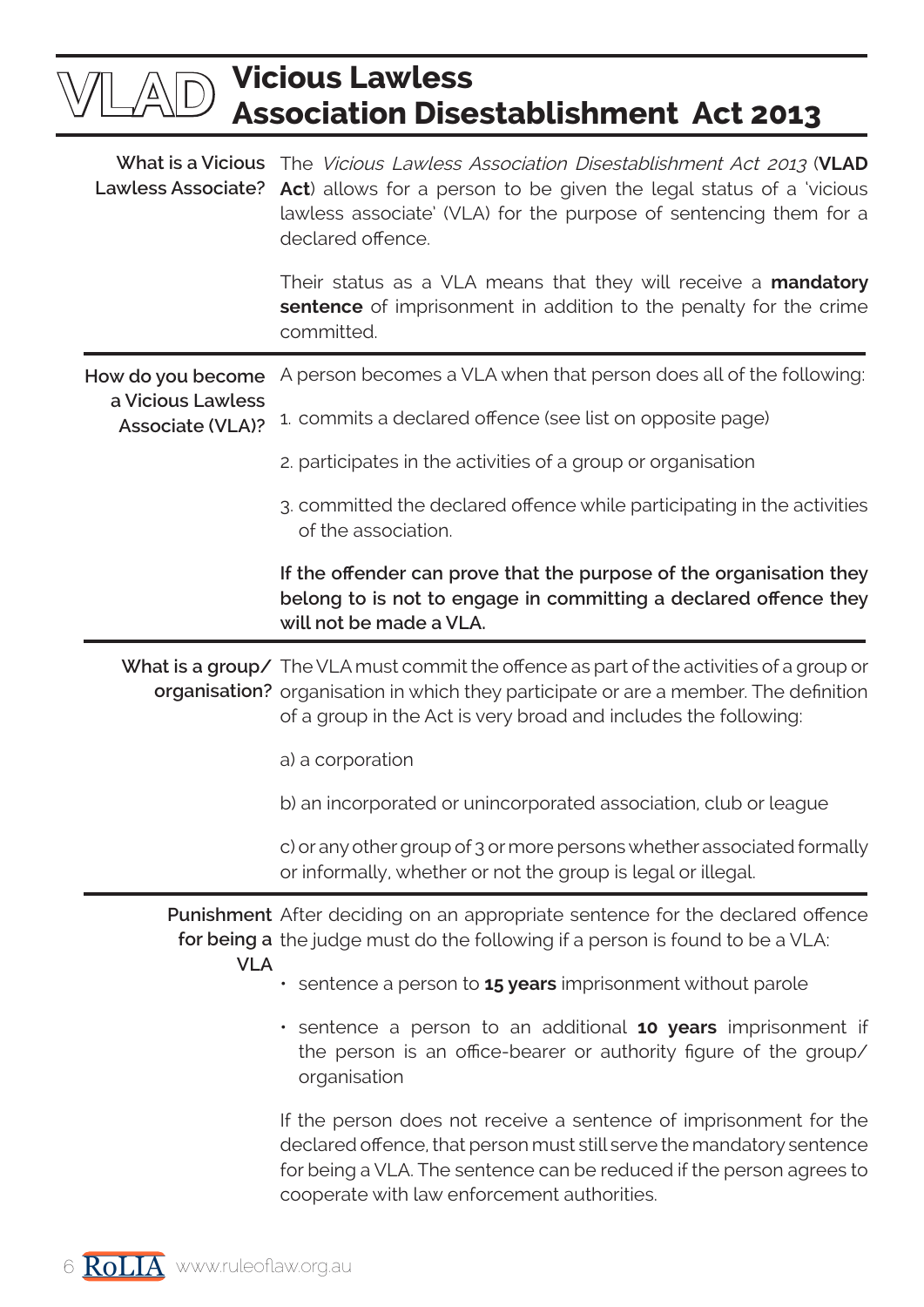|                                              | <b>Vicious Lawless</b><br><b>Association Disestablishment Act 2013</b>                                                                                                                                                                                                |
|----------------------------------------------|-----------------------------------------------------------------------------------------------------------------------------------------------------------------------------------------------------------------------------------------------------------------------|
|                                              | What is a Vicious The Vicious Lawless Association Disestablishment Act 2013 (VLAD<br>Lawless Associate? Act) allows for a person to be given the legal status of a 'vicious<br>lawless associate' (VLA) for the purpose of sentencing them for a<br>declared offence. |
|                                              | Their status as a VLA means that they will receive a <b>mandatory</b><br>sentence of imprisonment in addition to the penalty for the crime<br>committed.                                                                                                              |
| How do you become                            | A person becomes a VLA when that person does all of the following:                                                                                                                                                                                                    |
| a Vicious Lawless<br><b>Associate (VLA)?</b> | 1. commits a declared offence (see list on opposite page)                                                                                                                                                                                                             |
|                                              | 2. participates in the activities of a group or organisation                                                                                                                                                                                                          |
|                                              | 3. committed the declared offence while participating in the activities<br>of the association.                                                                                                                                                                        |
|                                              | If the offender can prove that the purpose of the organisation they<br>belong to is not to engage in committing a declared offence they<br>will not be made a VLA.                                                                                                    |
|                                              | What is a group/ The VLA must commit the offence as part of the activities of a group or<br>organisation? organisation in which they participate or are a member. The definition<br>of a group in the Act is very broad and includes the following:                   |
|                                              | a) a corporation                                                                                                                                                                                                                                                      |
|                                              | b) an incorporated or unincorporated association, club or league                                                                                                                                                                                                      |
|                                              | c) or any other group of 3 or more persons whether associated formally<br>or informally, whether or not the group is legal or illegal.                                                                                                                                |
|                                              | <b>Punishment</b> After deciding on an appropriate sentence for the declared offence<br>for being a the judge must do the following if a person is found to be a VLA:                                                                                                 |
| <b>VLA</b>                                   | sentence a person to <b>15 years</b> imprisonment without parole                                                                                                                                                                                                      |
|                                              | · sentence a person to an additional 10 years imprisonment if<br>the person is an office-bearer or authority figure of the group/<br>organisation                                                                                                                     |
|                                              | If the person does not receive a sentence of imprisonment for the<br>declared offence, that person must still serve the mandatory sentence<br>for being a VLA. The sentence can be reduced if the person agrees to<br>cooperate with law enforcement authorities.     |

<sup>6</sup> RoLIA www.ruleoflaw.org.au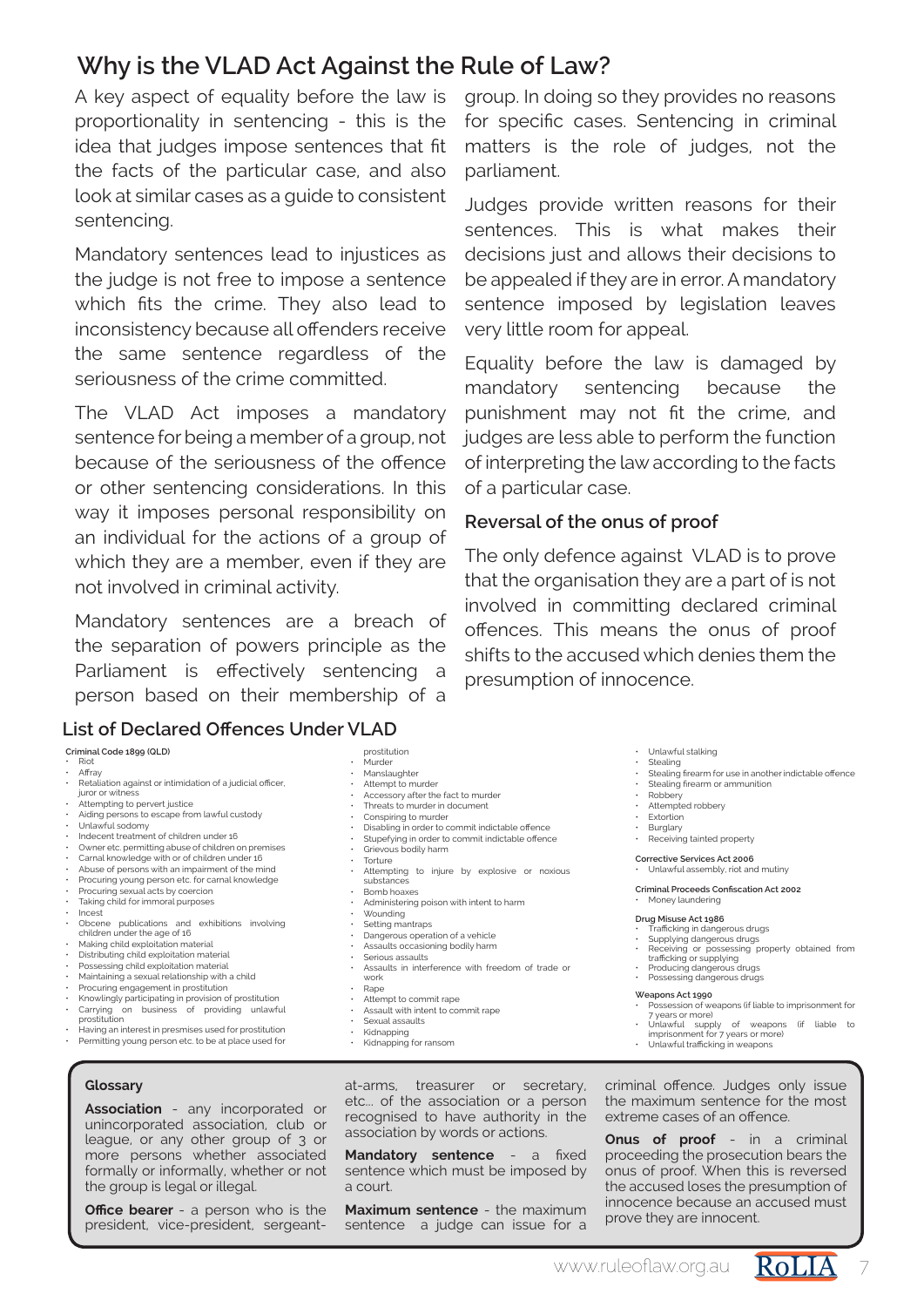## **Why is the VLAD Act Against the Rule of Law?**

A key aspect of equality before the law is proportionality in sentencing - this is the idea that judges impose sentences that fit the facts of the particular case, and also look at similar cases as a guide to consistent sentencing.

Mandatory sentences lead to injustices as the judge is not free to impose a sentence which fits the crime. They also lead to inconsistency because all offenders receive the same sentence regardless of the seriousness of the crime committed.

The VLAD Act imposes a mandatory sentence for being a member of a group, not because of the seriousness of the offence or other sentencing considerations. In this way it imposes personal responsibility on an individual for the actions of a group of which they are a member, even if they are not involved in criminal activity.

Mandatory sentences are a breach of the separation of powers principle as the Parliament is effectively sentencing a person based on their membership of a

#### **List of Declared Offences Under VLAD**

|      |  | Criminal Code 1899 (QLD) |
|------|--|--------------------------|
| Diet |  |                          |

- Riot Affray
- Retaliation against or intimidation of a judicial officer, juror or witness
- 
- Attempting to pervert justice Aiding persons to escape from lawful custody
- Unlawful sodomy
- 
- Indecent treatment of children under 16
- Owner etc. permitting abuse of children on premises Carnal knowledge with or of children under 16
- Abuse of persons with an impairment of the mind Procuring young person etc. for carnal knowledge
- 
- Procuring sexual acts by coercion Taking child for immoral purposes
- Incest
- Obcene publications and exhibitions involving children under the age of 16
- 
- Making child exploitation material Distributing child exploitation material
- Possessing child exploitation material Maintaining a sexual relationship with a child
- 
- Procuring engagement in prostitution
- Knowlingly participating in provision of prostitution<br>• Carrying on business of providing unlawf • Carrying on business of providing unlawful prostitution
- Having an interest in presmises used for prostitution Permitting young person etc. to be at place used for

#### **Glossary**

**Association** - any incorporated or unincorporated association, club or league, or any other group of 3 or more persons whether associated formally or informally, whether or not the group is legal or illegal.

**Office bearer** - a person who is the president, vice-president, sergeantgroup. In doing so they provides no reasons for specific cases. Sentencing in criminal matters is the role of judges, not the parliament.

Judges provide written reasons for their sentences. This is what makes their decisions just and allows their decisions to be appealed if they are in error. A mandatory sentence imposed by legislation leaves very little room for appeal.

Equality before the law is damaged by mandatory sentencing because the punishment may not fit the crime, and judges are less able to perform the function of interpreting the law according to the facts of a particular case.

#### **Reversal of the onus of proof**

The only defence against VLAD is to prove that the organisation they are a part of is not involved in committing declared criminal offences. This means the onus of proof shifts to the accused which denies them the presumption of innocence.

• Unlawful stalking

- Stealing<br>• Stealing Stealing firearm for use in another indictable offence
- Stealing firearm or ammunition<br>• Pobbery
- 
- Robbery Attempted robbery
- Extortion
- Burglary • Receiving tainted property

#### **Corrective Services Act 2006** • Unlawful assembly, riot and mutiny

**Criminal Proceeds Confiscation Act 2002**

#### Money laundering

#### **Drug Misuse Act 1986**

- 
- Trafficking in dangerous drugs Supplying dangerous drugs Receiving or possessing property obtained from trafficking or supplying
- 
- Producing dangerous drugs Possessing dangerous drugs

- **Weapons Act 1990** Possession of weapons (if liable to imprisonment for 7 years or more) Unlawful supply of weapons (if liable to
- 
- imprisonment for 7 years or more) Unlawful trafficking in weapons

criminal offence. Judges only issue the maximum sentence for the most extreme cases of an offence.

**Onus of proof** - in a criminal proceeding the prosecution bears the onus of proof. When this is reversed the accused loses the presumption of innocence because an accused must prove they are innocent.



• Setting mantraps • Dangerous operation of a vehicle • Assaults occasioning bodily harm • Serious assaults

• Administering poison with intent to harm<br>• Wounding

• Accessory after the fact to murder • Threats to murder in document Conspiring to murder

Grievous bodily harm

• Torture<br>• Attemp

substances • Bomb hoaxes

• Wounding

• Assaults in interference with freedom of trade or work • Rape

• Disabling in order to commit indictable offence • Stupefying in order to commit indictable offence

• Attempting to injure by explosive or noxious

Attempt to commit rape

prostitution • Murder • Manslaughter Attempt to murder

- Assault with intent to commit rape
- Sexual assaults
- Kidnapping • Kidnapping for ransom

at-arms, treasurer or secretary, etc... of the association or a person recognised to have authority in the association by words or actions.

**Mandatory sentence** - a fixed sentence which must be imposed by a court.

**Maximum sentence** - the maximum sentence a judge can issue for a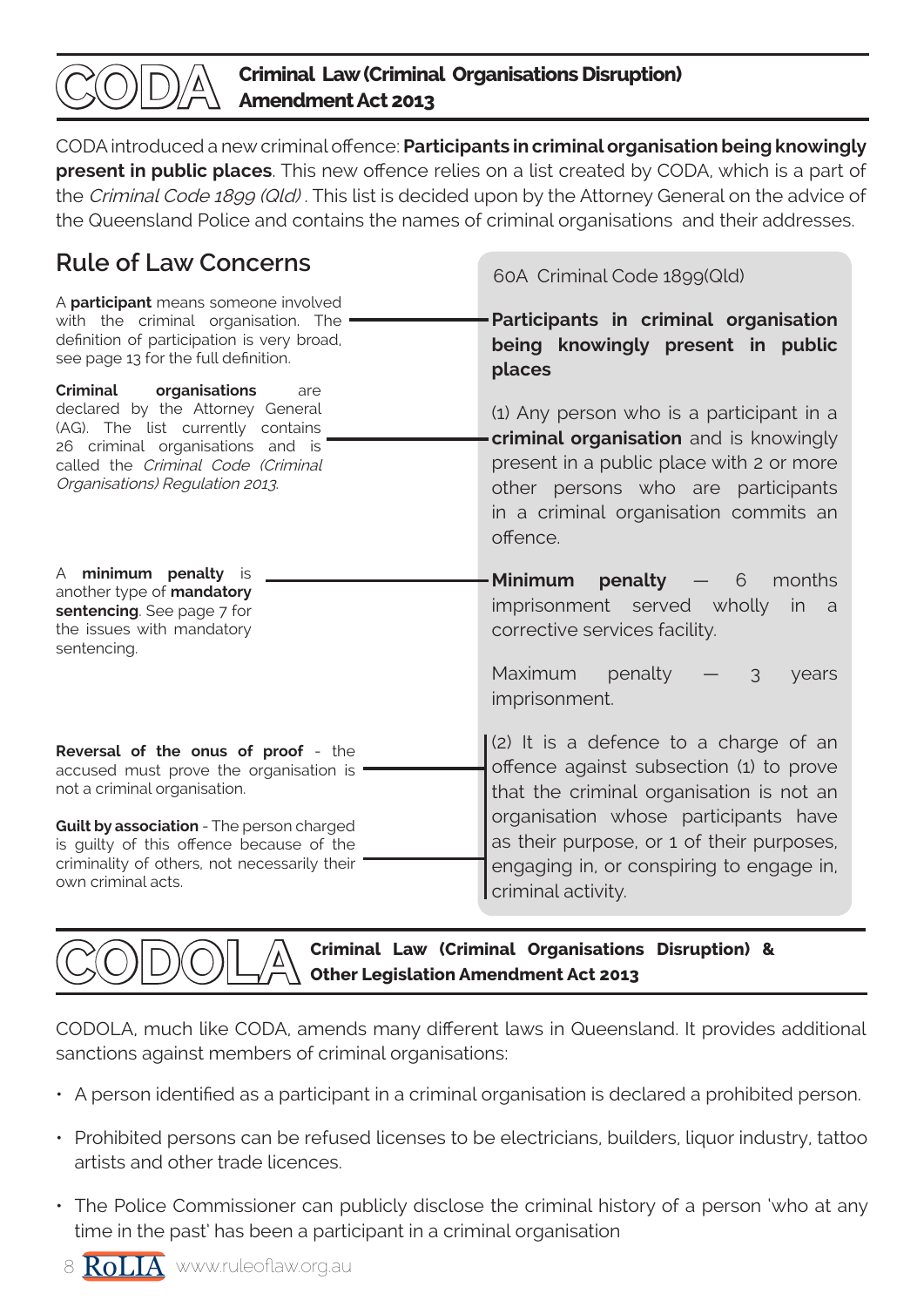

CODA introduced a new criminal offence: **Participants in criminal organisation being knowingly present in public places**. This new offence relies on a list created by CODA, which is a part of the Criminal Code 1899 (Qld). This list is decided upon by the Attorney General on the advice of the Queensland Police and contains the names of criminal organisations and their addresses.

## **Rule of Law Concerns**

60A Criminal Code 1899(Qld) **Participants in criminal organisation being knowingly present in public places** (1) Any person who is a participant in a **criminal organisation** and is knowingly present in a public place with 2 or more other persons who are participants in a criminal organisation commits an offence. **Minimum penalty** — 6 months imprisonment served wholly in a corrective services facility. Maximum penalty  $-$  3 years imprisonment. (2) It is a defence to a charge of an offence against subsection (1) to prove that the criminal organisation is not an organisation whose participants have as their purpose, or 1 of their purposes, engaging in, or conspiring to engage in, criminal activity. A **participant** means someone involved with the criminal organisation. The definition of participation is very broad, see page 13 for the full definition. **Criminal organisations** are declared by the Attorney General (AG). The list currently contains 26 criminal organisations and is called the Criminal Code (Criminal Organisations) Regulation 2013. A **minimum penalty** is another type of **mandatory sentencing**. See page 7 for the issues with mandatory sentencing. **Reversal of the onus of proof** - the accused must prove the organisation is not a criminal organisation. **Guilt by association** - The person charged is guilty of this offence because of the criminality of others, not necessarily their own criminal acts.

**Criminal Law (Criminal Organisations Disruption) & Other Legislation Amendment Act 2013**

CODOLA, much like CODA, amends many different laws in Queensland. It provides additional sanctions against members of criminal organisations:

- A person identified as a participant in a criminal organisation is declared a prohibited person.
- Prohibited persons can be refused licenses to be electricians, builders, liquor industry, tattoo artists and other trade licences.
- The Police Commissioner can publicly disclose the criminal history of a person 'who at any time in the past' has been a participant in a criminal organisation

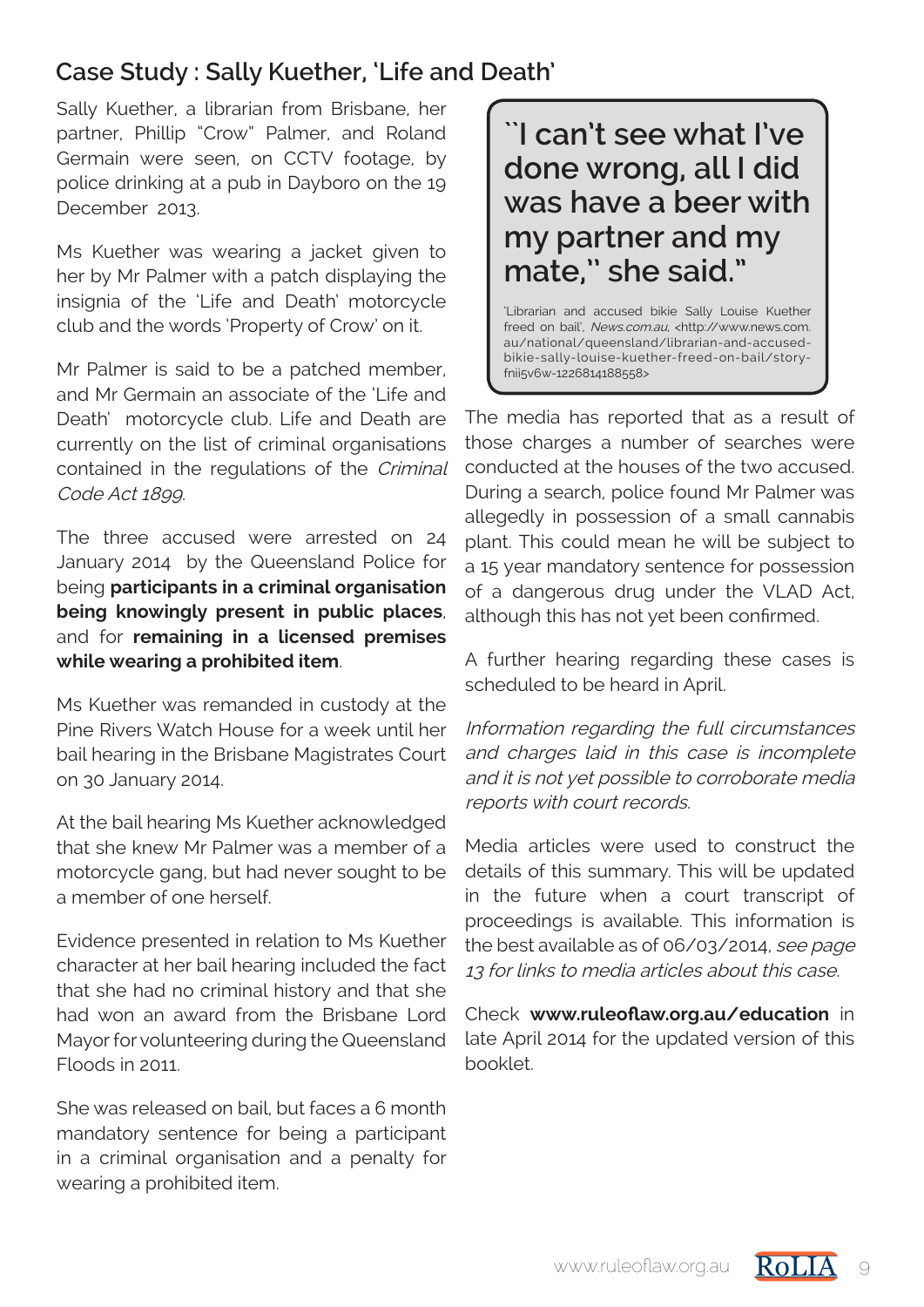## **Case Study : Sally Kuether, 'Life and Death'**

Sally Kuether, a librarian from Brisbane, her partner, Phillip "Crow" Palmer, and Roland Germain were seen, on CCTV footage, by police drinking at a pub in Dayboro on the 19 December 2013.

Ms Kuether was wearing a jacket given to her by Mr Palmer with a patch displaying the insignia of the 'Life and Death' motorcycle club and the words 'Property of Crow' on it.

Mr Palmer is said to be a patched member, and Mr Germain an associate of the 'Life and Death' motorcycle club. Life and Death are currently on the list of criminal organisations contained in the regulations of the Criminal Code Act 1899.

The three accused were arrested on 24 January 2014 by the Queensland Police for being **participants in a criminal organisation being knowingly present in public places**, and for **remaining in a licensed premises while wearing a prohibited item**.

Ms Kuether was remanded in custody at the Pine Rivers Watch House for a week until her bail hearing in the Brisbane Magistrates Court on 30 January 2014.

At the bail hearing Ms Kuether acknowledged that she knew Mr Palmer was a member of a motorcycle gang, but had never sought to be a member of one herself.

Evidence presented in relation to Ms Kuether character at her bail hearing included the fact that she had no criminal history and that she had won an award from the Brisbane Lord Mayor for volunteering during the Queensland Floods in 2011.

She was released on bail, but faces a 6 month mandatory sentence for being a participant in a criminal organisation and a penalty for wearing a prohibited item.

**``I can't see what I've done wrong, all I did was have a beer with my partner and my mate,'' she said."**

'Librarian and accused bikie Sally Louise Kuether freed on bail', News.com.au, <http://www.news.com. au/national/queensland/librarian-and-accusedbikie-sally-louise-kuether-freed-on-bail/storyfnii5v6w-1226814188558>

The media has reported that as a result of those charges a number of searches were conducted at the houses of the two accused. During a search, police found Mr Palmer was allegedly in possession of a small cannabis plant. This could mean he will be subject to a 15 year mandatory sentence for possession of a dangerous drug under the VLAD Act, although this has not yet been confirmed.

A further hearing regarding these cases is scheduled to be heard in April.

Information regarding the full circumstances and charges laid in this case is incomplete and it is not yet possible to corroborate media reports with court records.

Media articles were used to construct the details of this summary. This will be updated in the future when a court transcript of proceedings is available. This information is the best available as of 06/03/2014, see page 13 for links to media articles about this case.

Check **www.ruleoflaw.org.au/education** in late April 2014 for the updated version of this booklet.

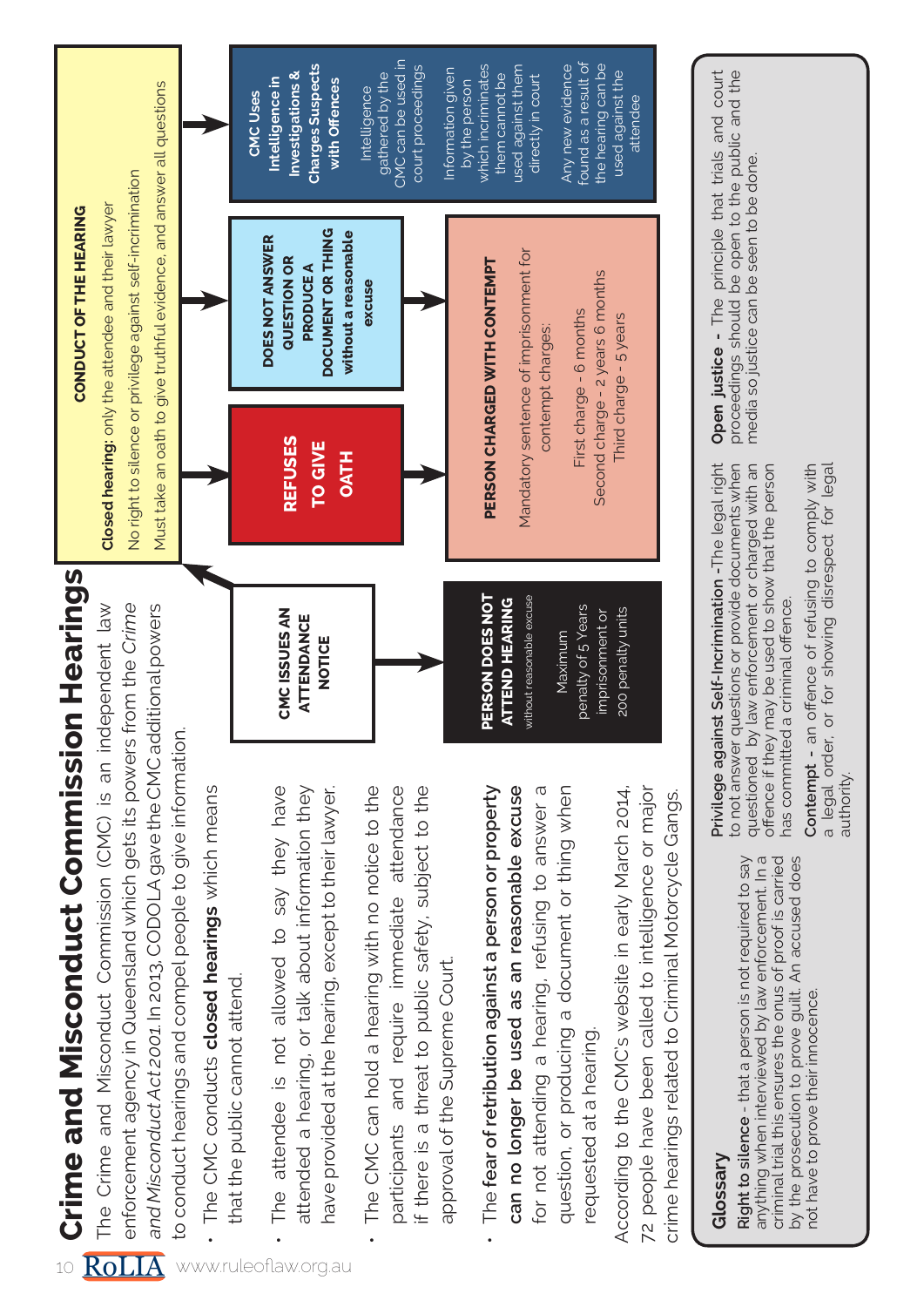Crime and Misconduct Commission Hearings **Crime and Misconduct Commission Hearings**

**CONDUCT OF THE HEARING**

CONDUCT OF THE HEARING

The Crime and Misconduct Commission (CMC) is an independent law enforcement agency in Queensland which gets its powers from the Crime and Misconduct Act 2001. In 2013, CODOLA gave the CMC additional powers The Crime and Misconduct Commission (CMC) is an independent law and Misconduct Act 2001. In 2013, CODOLA gave the CMC additional powers enforcement agency in Queensland which gets its powers from the to conduct hearings and compel people to give information. to conduct hearings and compel people to give information.

- The CMC conducts **closed hearings** which means The CMC conducts closed hearings which means that the public cannot attend. that the public cannot attend.
- The attendee is not allowed to say they have The attendee is not allowed to say they have attended a hearing, or talk about information they attended a hearing, or talk about information they •

have provided at the hearing, except to their lawyer.

have provided at the hearing, except to their lawyer.

- The CMC can hold a hearing with no notice to the The CMC can hold a hearing with no notice to the participants and require immediate attendance if there is a threat to public safety, subject to the participants and require immediate attendance If there is a threat to public safety, subject to the approval of the Supreme Court. approval of the Supreme Court. •
- for not attending a hearing, refusing to answer a question, or producing a document or thing when The **fear of retribution against a person or property**  can no longer be used as an reasonable excuse for not attending a hearing, refusing to answer a question, or producing a document or thing when The fear of retribution against a person or property **can no longer be used as an reasonable excuse** requested at a hearing requested at a hearing. •

According to the CMC's website in early March 2014, 72 people have been called to intelligence or major According to the CMC's website in early March 2014, 72 people have been called to intelligence or major crime hearings related to Criminal Motorcycle Gangs. crime hearings related to Criminal Motorcycle Gangs.

#### CMC can be used in CMC can be used in found as a result of **Charges Suspects**  which incriminates used against them the hearing can be **Charges Suspects** Any new evidence found as a result of the hearing can be court proceedings Information given which incriminates used against them Any new evidence Investigations & court proceedings nformation given **Investigations &**  them cannot be used against the used against the gathered by the gathered by the them cannot be directly in court Intelligence in **Intelligence in**  with Offences by the person directly in court by the person Must take an oath to give truthful evidence, and answer all questions **with Offences** Intelligence Must take an oath to give truthful evidence, and answer all questions Intelligence CMC Uses **CMC Uses**  attendee attendee No right to silence or privilege against self-incrimination No right to silence or privilege against self-incrimination Closed hearing: only the attendee and their lawyer **Closed hearing:** only the attendee and their lawyer DOCUMENT OR THING **DOCUMENT OR THING without a reasonable**  without a reasonable  **DOES NOT ANSWER**  DOES NOT ANSWER Mandatory sentence of imprisonment for Mandatory sentence of imprisonment for **QUESTION OR QUESTION OR** PERSON CHARGED WITH CONTEMPT **PERSON CHARGED WITH CONTEMPT PRODUCE A PRODUCE A**  Second charge - 2 years 6 months Second charge - 2 years 6 months excuse **excuse** First charge - 6 months First charge - 6 months Third charge - 5 years Third charge - 5 years contempt charges: contempt charges: **REFUSES REFUSES TO GIVE**  TO GIVE **OATHPERSON DOES NOT**  PERSON DOES NOT **ATTEND HEARING** without reasonable excuse **ATTEND HEARING**  without reasonable excuse penalty of 5 Years **CMC ISSUES AN**  penalty of 5 Years 200 penalty units imprisonment or CMC ISSUES AN imprisonment or 200 penalty units **ATTENDANCE ATTENDANCE**  Maximum Maximum **NOTICE**

# **Glossary**

**Right to silence** - that a person is not required to say anything when interviewed by law enforcement. In a criminal trial this ensures the onus of proof is carried by the prosecution to prove guilt. An accused does Right to silence - that a person is not required to say anything when interviewed by law enforcement. In a criminal trial this ensures the onus of proof is carried by the prosecution to prove guilt. An accused does not have to prove their innocence. not have to prove their innocence.

to not answer questions or provide documents when **Privilege against Self-Incrimination -**The legal right to not answer questions or provide documents when questioned by law enforcement or charged with an questioned by law enforcement or charged with an offence if they may be used to show that the person Privilege against Self-Incrimination -The legal right offence if they may be used to show that the person has committed a criminal offence. nas committed a criminal offence.

**Contempt -** an offence of refusing to comply with a legal order, or for showing disrespect for legal Contempt - an offence of refusing to comply with a legal order, or for showing disrespect for legal<br>authority.

**Open justice -** The principle that trials and court proceedings should be open to the public and the Open justice - The principle that trials and court proceedings should be open to the public and the media so justice can be seen to be done. media so justice can be seen to be done.

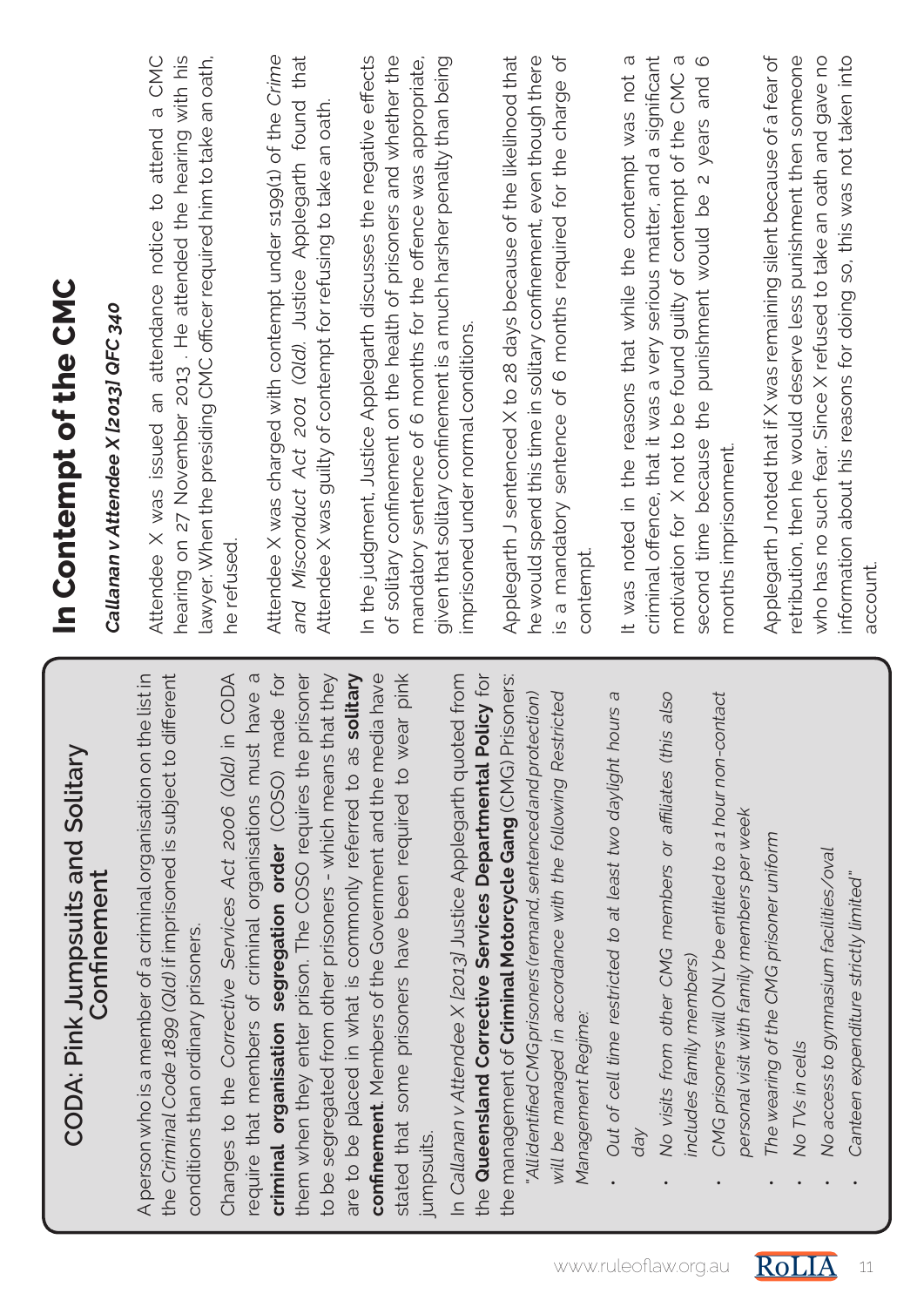| CODA: Pink Jumpsuits and Solitary                                                                                                                                               | In Contempt of the CMC                                                                                                                                                                                 |
|---------------------------------------------------------------------------------------------------------------------------------------------------------------------------------|--------------------------------------------------------------------------------------------------------------------------------------------------------------------------------------------------------|
| Confinement                                                                                                                                                                     | Callanan v Attendee X [2013] QFC 340                                                                                                                                                                   |
| the Criminal Code 1899 (Qld) if imprisoned is subject to different<br>A person who is a member of a criminal organisation on the list in<br>conditions than ordinary prisoners. | hearing on 27 November 2013. He attended the hearing with his<br>a CMC<br>lawyer. When the presiding CMC officer required him to take an oath,<br>Attendee X was issued an attendance notice to attend |
| Changes to the Corrective Services Act 2006 (Qld) in CODA<br>require that members of criminal organisations must have a                                                         | he refused.                                                                                                                                                                                            |
| criminal organisation segregation order (COSO) made for                                                                                                                         | Attendee X was charged with contempt under s199(1) of the Crime                                                                                                                                        |
| prisoner<br>to be segregated from other prisoners - which means that they<br>them when they enter prison. The COSO requires the                                                 | and Misconduct Act 2001 (Qld). Justice Applegarth found that<br>Attendee X was guilty of contempt for refusing to take an oath.                                                                        |
| solitary<br>confinement. Members of the Government and the media have<br>are to be placed in what is commonly referred to as                                                    | In the judgment, Justice Applegarth discusses the negative effects                                                                                                                                     |
| stated that some prisoners have been required to wear pink                                                                                                                      | of solitary confinement on the health of prisoners and whether the<br>mandatory sentence of 6 months for the offence was appropriate,                                                                  |
| the Queensland Corrective Services Departmental Policy for<br>In Callanan v Attendee X (2013) Justice Applegarth quoted from<br><b>Jumpsuits</b>                                | given that solitary confinement is a much harsher penalty than being<br>imprisoned under normal conditions.                                                                                            |
| the management of <b>Criminal Motorcycle Gang</b> (CMG) Prisoners:                                                                                                              | Applegarth J sentenced X to 28 days because of the likelihood that                                                                                                                                     |
| Allidentified CMG prisoners (remand, sentenced and protection)<br>will be managed in accordance with the following Restricted                                                   | he would spend this time in solitary confinement, even though there                                                                                                                                    |
| Management Regime                                                                                                                                                               | is a mandatory sentence of 6 months required for the charge of<br>contempt                                                                                                                             |
| Out of cell time restricted to at least two daylight hours a                                                                                                                    | It was noted in the reasons that while the contempt was not a                                                                                                                                          |
| No visits from other CMG members or affiliates (this also                                                                                                                       | criminal offence, that it was a very serious matter, and a significant<br>$\sigma$<br>motivation for X not to be found guilty of contempt of the CMC                                                   |
| includes family members)                                                                                                                                                        | $\circ$<br>second time because the punishment would be 2 years and                                                                                                                                     |
| CMG prisoners will ONLY be entitled to a 1 hour non-contact<br>personal visit with family members per week                                                                      | months imprisonment.                                                                                                                                                                                   |
| The wearing of the CMG prisoner uniform                                                                                                                                         | Applegarth J noted that if X was remaining silent because of a fear of                                                                                                                                 |
| No TVs in cells                                                                                                                                                                 | retribution, then he would deserve less punishment then someone                                                                                                                                        |
| No access to gymnasium facilities/oval                                                                                                                                          | who has no such fear. Since X refused to take an oath and gave no                                                                                                                                      |
| Canteen expenditure strictly limited"                                                                                                                                           | information about his reasons for doing so, this was not taken into<br>account.                                                                                                                        |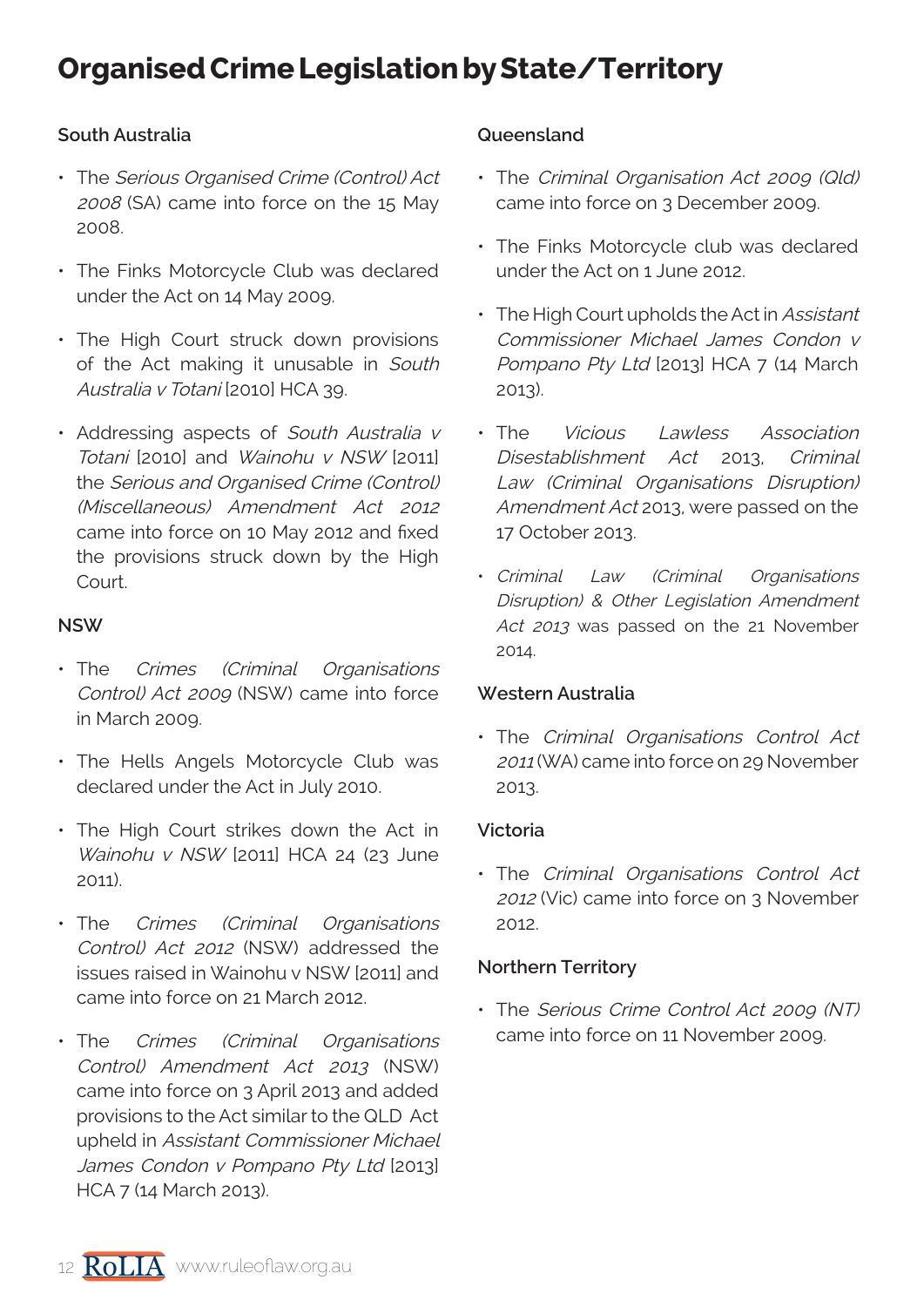## **Organised Crime Legislation by State/Territory**

## **South Australia**

- The Serious Organised Crime (Control) Act 2008 (SA) came into force on the 15 May 2008.
- The Finks Motorcycle Club was declared under the Act on 14 May 2009.
- The High Court struck down provisions of the Act making it unusable in South Australia v Totani [2010] HCA 39.
- Addressing aspects of South Australia v Totani [2010] and Wainohu v NSW [2011] the Serious and Organised Crime (Control) (Miscellaneous) Amendment Act 2012 came into force on 10 May 2012 and fixed the provisions struck down by the High Court.

### **NSW**

- The Crimes (Criminal Organisations Control) Act 2009 (NSW) came into force in March 2009.
- The Hells Angels Motorcycle Club was declared under the Act in July 2010.
- The High Court strikes down the Act in Wainohu v NSW [2011] HCA 24 (23 June 2011).
- The Crimes (Criminal Organisations Control) Act 2012 (NSW) addressed the issues raised in Wainohu v NSW [2011] and came into force on 21 March 2012.
- The Crimes (Criminal Organisations Control) Amendment Act 2013 (NSW) came into force on 3 April 2013 and added provisions to the Act similar to the QLD Act upheld in Assistant Commissioner Michael James Condon v Pompano Pty Ltd [2013] HCA 7 (14 March 2013).

### **Queensland**

- The Criminal Organisation Act 2009 (Qld) came into force on 3 December 2009.
- The Finks Motorcycle club was declared under the Act on 1 June 2012.
- The High Court upholds the Act in Assistant Commissioner Michael James Condon v Pompano Pty Ltd [2013] HCA 7 (14 March 2013).
- The Vicious Lawless Association Disestablishment Act 2013, Criminal Law (Criminal Organisations Disruption) Amendment Act 2013, were passed on the 17 October 2013.
- Criminal Law (Criminal Organisations Disruption) & Other Legislation Amendment Act 2013 was passed on the 21 November 2014.

#### **Western Australia**

• The Criminal Organisations Control Act <sup>2011</sup>(WA) came into force on 29 November 2013.

#### **Victoria**

• The Criminal Organisations Control Act <sup>2012</sup>(Vic) came into force on 3 November 2012.

#### **Northern Territory**

• The Serious Crime Control Act 2009 (NT) came into force on 11 November 2009.

12  $\overline{RolIA}$  www.ruleoflaw.org.au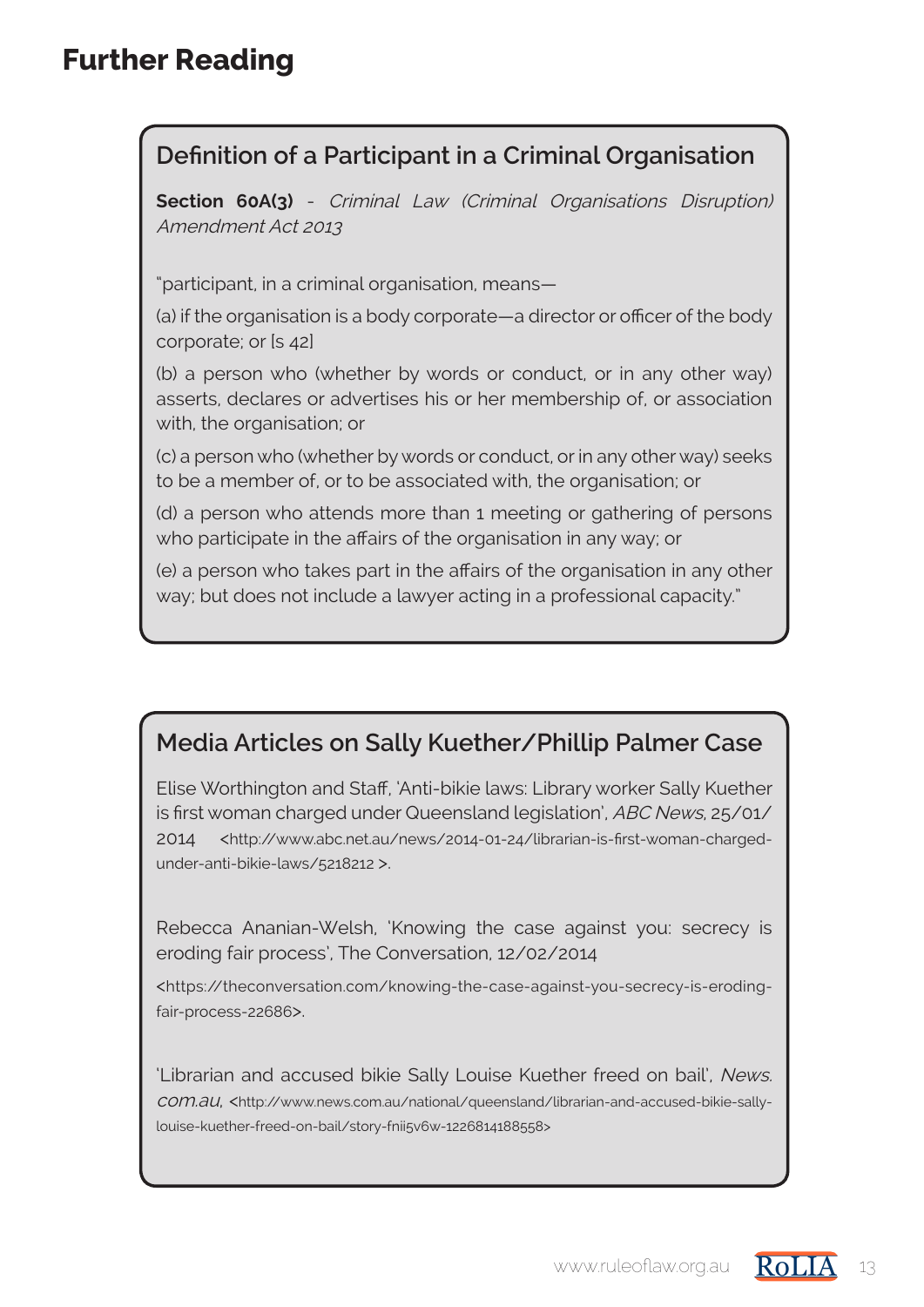## **Further Reading**

## **Definition of a Participant in a Criminal Organisation**

**Section 60A(3)** - Criminal Law (Criminal Organisations Disruption) Amendment Act 2013

"participant, in a criminal organisation, means—

(a) if the organisation is a body corporate—a director or officer of the body corporate; or [s 42]

(b) a person who (whether by words or conduct, or in any other way) asserts, declares or advertises his or her membership of, or association with, the organisation; or

(c) a person who (whether by words or conduct, or in any other way) seeks to be a member of, or to be associated with, the organisation; or

(d) a person who attends more than 1 meeting or gathering of persons who participate in the affairs of the organisation in any way; or

(e) a person who takes part in the affairs of the organisation in any other way; but does not include a lawyer acting in a professional capacity."

## **Media Articles on Sally Kuether/Phillip Palmer Case**

Elise Worthington and Staff, 'Anti-bikie laws: Library worker Sally Kuether is first woman charged under Queensland legislation', ABC News, 25/01/ 2014 <http://www.abc.net.au/news/2014-01-24/librarian-is-first-woman-chargedunder-anti-bikie-laws/5218212 >.

Rebecca Ananian-Welsh, 'Knowing the case against you: secrecy is eroding fair process', The Conversation, 12/02/2014

<https://theconversation.com/knowing-the-case-against-you-secrecy-is-erodingfair-process-22686>.

'Librarian and accused bikie Sally Louise Kuether freed on bail', News. com.au, <http://www.news.com.au/national/queensland/librarian-and-accused-bikie-sallylouise-kuether-freed-on-bail/story-fnii5v6w-1226814188558>